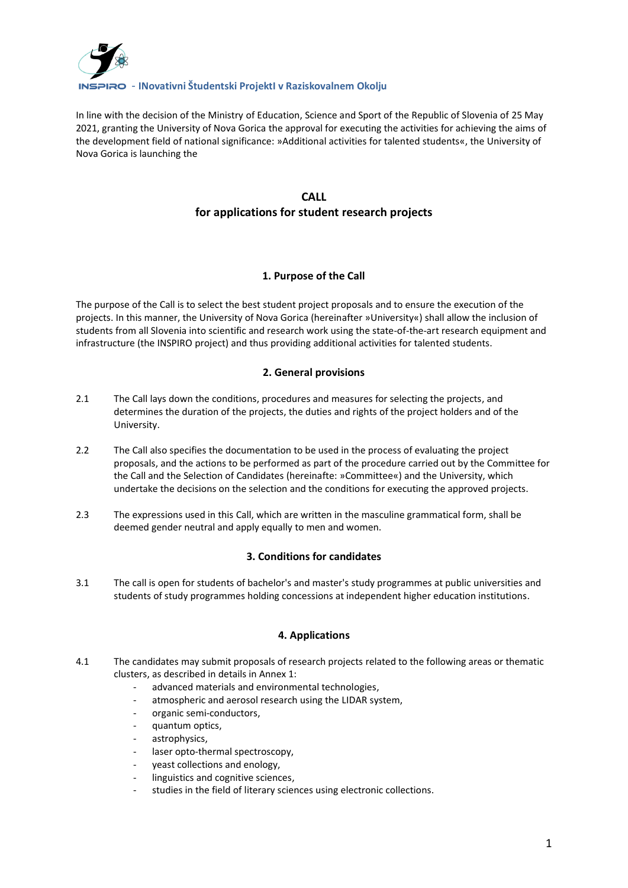

In line with the decision of the Ministry of Education, Science and Sport of the Republic of Slovenia of 25 May 2021, granting the University of Nova Gorica the approval for executing the activities for achieving the aims of the development field of national significance: »Additional activities for talented students«, the University of Nova Gorica is launching the

# **CALL for applications for student research projects**

# **1. Purpose of the Call**

The purpose of the Call is to select the best student project proposals and to ensure the execution of the projects. In this manner, the University of Nova Gorica (hereinafter »University«) shall allow the inclusion of students from all Slovenia into scientific and research work using the state-of-the-art research equipment and infrastructure (the INSPIRO project) and thus providing additional activities for talented students.

## **2. General provisions**

- 2.1 The Call lays down the conditions, procedures and measures for selecting the projects, and determines the duration of the projects, the duties and rights of the project holders and of the University.
- 2.2 The Call also specifies the documentation to be used in the process of evaluating the project proposals, and the actions to be performed as part of the procedure carried out by the Committee for the Call and the Selection of Candidates (hereinafte: »Committee«) and the University, which undertake the decisions on the selection and the conditions for executing the approved projects.
- 2.3 The expressions used in this Call, which are written in the masculine grammatical form, shall be deemed gender neutral and apply equally to men and women.

# **3. Conditions for candidates**

3.1 The call is open for students of bachelor's and master's study programmes at public universities and students of study programmes holding concessions at independent higher education institutions.

# **4. Applications**

- 4.1 The candidates may submit proposals of research projects related to the following areas or thematic clusters, as described in details in Annex 1:
	- advanced materials and environmental technologies,
	- atmospheric and aerosol research using the LIDAR system,
	- organic semi-conductors,
	- quantum optics,
	- astrophysics,
	- laser opto-thermal spectroscopy,
	- yeast collections and enology,
	- linguistics and cognitive sciences,
	- studies in the field of literary sciences using electronic collections.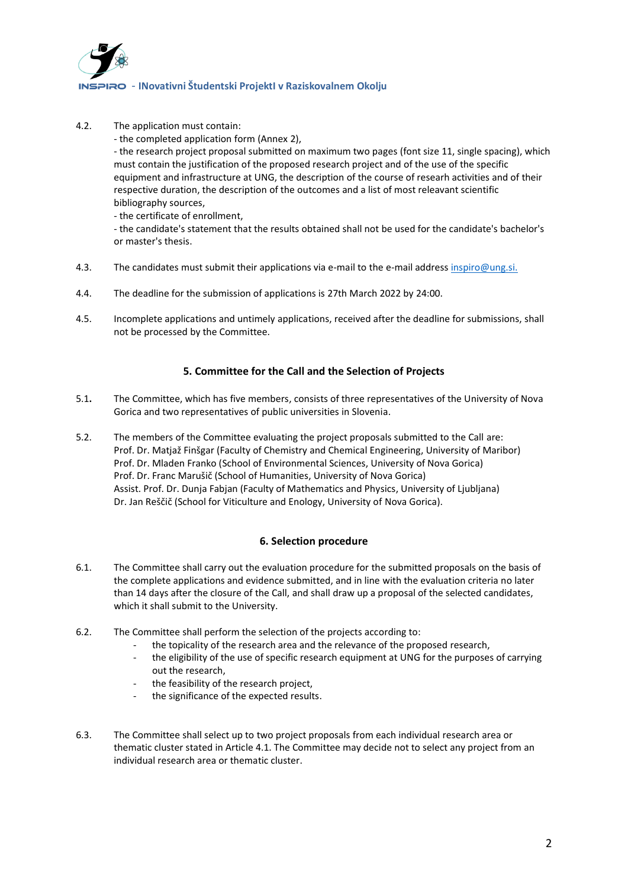

4.2. The application must contain:

- the completed application form (Annex 2),

- the research project proposal submitted on maximum two pages (font size 11, single spacing), which must contain the justification of the proposed research project and of the use of the specific equipment and infrastructure at UNG, the description of the course of researh activities and of their respective duration, the description of the outcomes and a list of most releavant scientific bibliography sources,

- the certificate of enrollment,

- the candidate's statement that the results obtained shall not be used for the candidate's bachelor's or master's thesis.

- 4.3. The candidates must submit their applications via e-mail to the e-mail address [inspiro@ung.si.](mailto:inspiro@ung.si)
- 4.4. The deadline for the submission of applications is 27th March 2022 by 24:00.
- 4.5. Incomplete applications and untimely applications, received after the deadline for submissions, shall not be processed by the Committee.

## **5. Committee for the Call and the Selection of Projects**

- 5.1**.** The Committee, which has five members, consists of three representatives of the University of Nova Gorica and two representatives of public universities in Slovenia.
- 5.2. The members of the Committee evaluating the project proposals submitted to the Call are: Prof. Dr. Matjaž Finšgar (Faculty of Chemistry and Chemical Engineering, University of Maribor) Prof. Dr. Mladen Franko (School of Environmental Sciences, University of Nova Gorica) Prof. Dr. Franc Marušič (School of Humanities, University of Nova Gorica) Assist. Prof. Dr. Dunja Fabjan (Faculty of Mathematics and Physics, University of Ljubljana) Dr. Jan Reščič (School for Viticulture and Enology, University of Nova Gorica).

#### **6. Selection procedure**

- 6.1. The Committee shall carry out the evaluation procedure for the submitted proposals on the basis of the complete applications and evidence submitted, and in line with the evaluation criteria no later than 14 days after the closure of the Call, and shall draw up a proposal of the selected candidates, which it shall submit to the University.
- 6.2. The Committee shall perform the selection of the projects according to:
	- the topicality of the research area and the relevance of the proposed research,
	- the eligibility of the use of specific research equipment at UNG for the purposes of carrying out the research,
	- the feasibility of the research project,
	- the significance of the expected results.
- 6.3. The Committee shall select up to two project proposals from each individual research area or thematic cluster stated in Article 4.1. The Committee may decide not to select any project from an individual research area or thematic cluster.